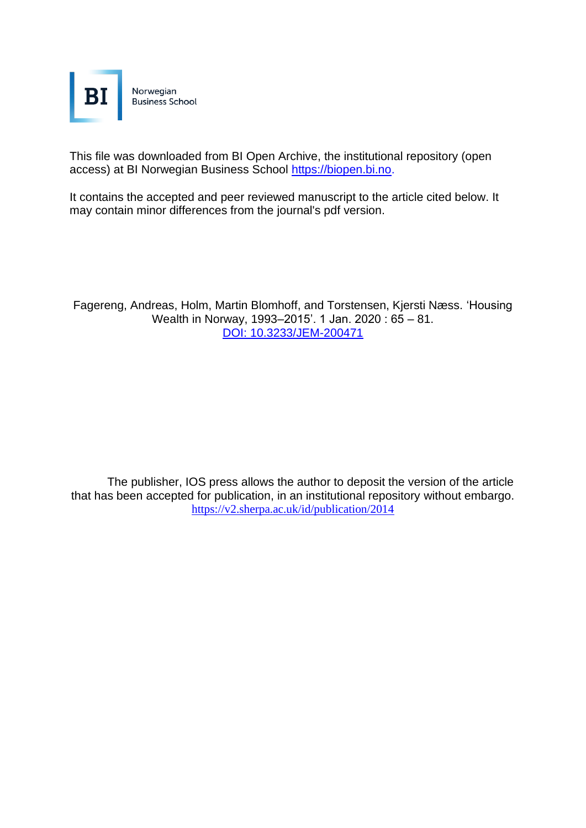

This file was downloaded from BI Open Archive, the institutional repository (open access) at BI Norwegian Business School https://biopen.bi.no.

It contains the accepted and peer reviewed manuscript to the article cited below. It may contain minor differences from the journal's pdf version.

Fagereng, Andreas, Holm, Martin Blomhoff, and Torstensen, Kjersti Næss. 'Housing Wealth in Norway, 1993–2015'. 1 Jan. 2020 : 65 – 81. [DOI: 10.3233/JEM-200471](https://content.iospress.com/articles/journal-of-economic-and-social-measurement/jem200471)

The publisher, IOS press allows the author to deposit the version of the article that has been accepted for publication, in an institutional repository without embargo. <https://v2.sherpa.ac.uk/id/publication/2014>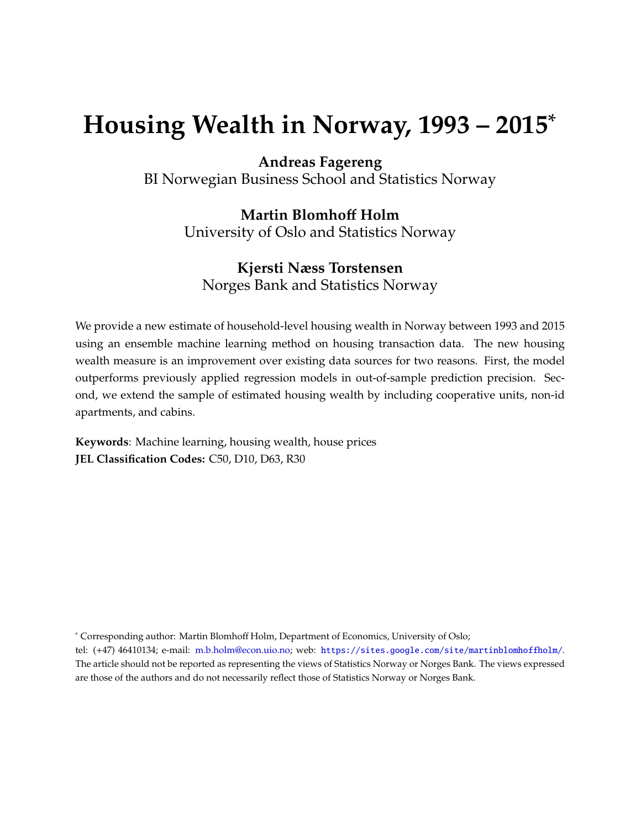# **Housing Wealth in Norway, 1993 – 2015**<sup>∗</sup>

# **Andreas Fagereng**

BI Norwegian Business School and Statistics Norway

# **Martin Blomho**ff **Holm**

University of Oslo and Statistics Norway

# **Kjersti Næss Torstensen** Norges Bank and Statistics Norway

We provide a new estimate of household-level housing wealth in Norway between 1993 and 2015 using an ensemble machine learning method on housing transaction data. The new housing wealth measure is an improvement over existing data sources for two reasons. First, the model outperforms previously applied regression models in out-of-sample prediction precision. Second, we extend the sample of estimated housing wealth by including cooperative units, non-id apartments, and cabins.

**Keywords**: Machine learning, housing wealth, house prices **JEL Classification Codes:** C50, D10, D63, R30

<sup>∗</sup> Corresponding author: Martin Blomhoff Holm, Department of Economics, University of Oslo;

tel: (+47) 46410134; e-mail: [m.b.holm@econ.uio.no;](mailto:m.b.holm@econ.uio.no) web: <https://sites.google.com/site/martinblomhoffholm/>. The article should not be reported as representing the views of Statistics Norway or Norges Bank. The views expressed are those of the authors and do not necessarily reflect those of Statistics Norway or Norges Bank.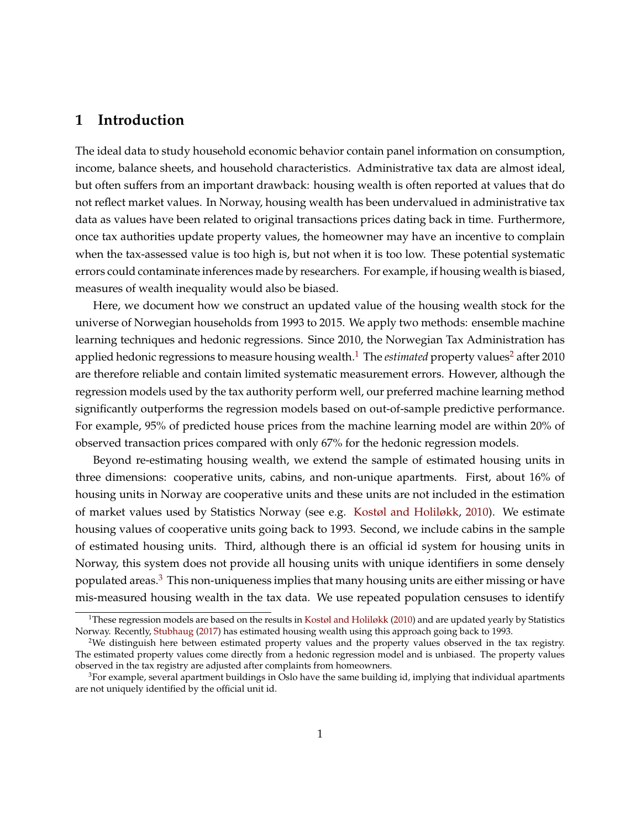# **1 Introduction**

The ideal data to study household economic behavior contain panel information on consumption, income, balance sheets, and household characteristics. Administrative tax data are almost ideal, but often suffers from an important drawback: housing wealth is often reported at values that do not reflect market values. In Norway, housing wealth has been undervalued in administrative tax data as values have been related to original transactions prices dating back in time. Furthermore, once tax authorities update property values, the homeowner may have an incentive to complain when the tax-assessed value is too high is, but not when it is too low. These potential systematic errors could contaminate inferences made by researchers. For example, if housing wealth is biased, measures of wealth inequality would also be biased.

Here, we document how we construct an updated value of the housing wealth stock for the universe of Norwegian households from 1993 to 2015. We apply two methods: ensemble machine learning techniques and hedonic regressions. Since 2010, the Norwegian Tax Administration has applied hedonic regressions to measure housing wealth.<sup>[1](#page-2-0)</sup> The *estimated* property values<sup>[2](#page-2-1)</sup> after 2010 are therefore reliable and contain limited systematic measurement errors. However, although the regression models used by the tax authority perform well, our preferred machine learning method significantly outperforms the regression models based on out-of-sample predictive performance. For example, 95% of predicted house prices from the machine learning model are within 20% of observed transaction prices compared with only 67% for the hedonic regression models.

Beyond re-estimating housing wealth, we extend the sample of estimated housing units in three dimensions: cooperative units, cabins, and non-unique apartments. First, about 16% of housing units in Norway are cooperative units and these units are not included in the estimation of market values used by Statistics Norway (see e.g. [Kostøl and Holiløkk,](#page-14-0) [2010\)](#page-14-0). We estimate housing values of cooperative units going back to 1993. Second, we include cabins in the sample of estimated housing units. Third, although there is an official id system for housing units in Norway, this system does not provide all housing units with unique identifiers in some densely populated areas.[3](#page-2-2) This non-uniqueness implies that many housing units are either missing or have mis-measured housing wealth in the tax data. We use repeated population censuses to identify

<span id="page-2-0"></span><sup>1</sup>These regression models are based on the results in [Kostøl and Holiløkk](#page-14-0) [\(2010\)](#page-14-0) and are updated yearly by Statistics Norway. Recently, [Stubhaug](#page-14-1) [\(2017\)](#page-14-1) has estimated housing wealth using this approach going back to 1993.

<span id="page-2-1"></span><sup>&</sup>lt;sup>2</sup>We distinguish here between estimated property values and the property values observed in the tax registry. The estimated property values come directly from a hedonic regression model and is unbiased. The property values observed in the tax registry are adjusted after complaints from homeowners.

<span id="page-2-2"></span> $3$ For example, several apartment buildings in Oslo have the same building id, implying that individual apartments are not uniquely identified by the official unit id.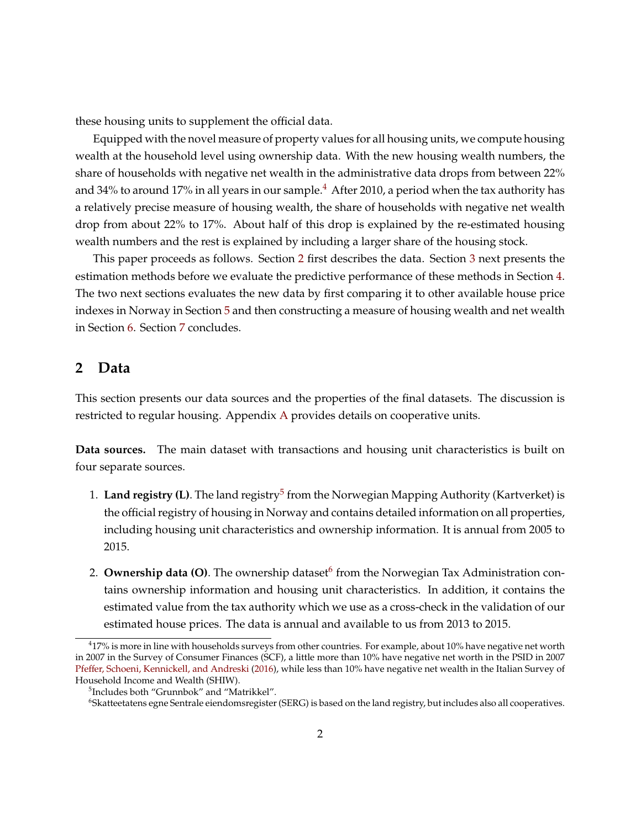these housing units to supplement the official data.

Equipped with the novel measure of property values for all housing units, we compute housing wealth at the household level using ownership data. With the new housing wealth numbers, the share of households with negative net wealth in the administrative data drops from between 22% and 3[4](#page-3-0)% to around 17% in all years in our sample.<sup>4</sup> After 2010, a period when the tax authority has a relatively precise measure of housing wealth, the share of households with negative net wealth drop from about 22% to 17%. About half of this drop is explained by the re-estimated housing wealth numbers and the rest is explained by including a larger share of the housing stock.

This paper proceeds as follows. Section [2](#page-3-1) first describes the data. Section [3](#page-5-0) next presents the estimation methods before we evaluate the predictive performance of these methods in Section [4.](#page-7-0) The two next sections evaluates the new data by first comparing it to other available house price indexes in Norway in Section [5](#page-9-0) and then constructing a measure of housing wealth and net wealth in Section [6.](#page-10-0) Section [7](#page-12-0) concludes.

## <span id="page-3-1"></span>**2 Data**

This section presents our data sources and the properties of the final datasets. The discussion is restricted to regular housing. Appendix [A](#page-15-0) provides details on cooperative units.

**Data sources.** The main dataset with transactions and housing unit characteristics is built on four separate sources.

- 1. L**and registry (L)**. The land registry<sup>[5](#page-3-2)</sup> from the Norwegian Mapping Authority (Kartverket) is the official registry of housing in Norway and contains detailed information on all properties, including housing unit characteristics and ownership information. It is annual from 2005 to 2015.
- 2. Ownership data (O). The ownership dataset<sup>[6](#page-3-3)</sup> from the Norwegian Tax Administration contains ownership information and housing unit characteristics. In addition, it contains the estimated value from the tax authority which we use as a cross-check in the validation of our estimated house prices. The data is annual and available to us from 2013 to 2015.

<span id="page-3-0"></span> $417\%$  is more in line with households surveys from other countries. For example, about 10% have negative net worth in 2007 in the Survey of Consumer Finances (SCF), a little more than 10% have negative net worth in the PSID in 2007 Pfeff[er, Schoeni, Kennickell, and Andreski](#page-14-2) [\(2016\)](#page-14-2), while less than 10% have negative net wealth in the Italian Survey of Household Income and Wealth (SHIW).

<span id="page-3-2"></span><sup>5</sup> Includes both "Grunnbok" and "Matrikkel".

<span id="page-3-3"></span><sup>6</sup>Skatteetatens egne Sentrale eiendomsregister (SERG) is based on the land registry, but includes also all cooperatives.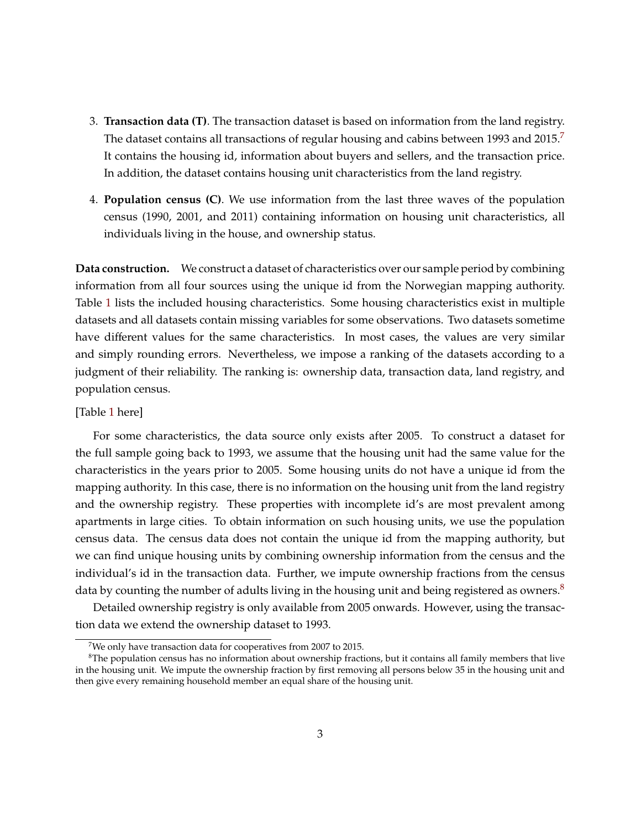- 3. **Transaction data (T)**. The transaction dataset is based on information from the land registry. The dataset contains all transactions of regular housing and cabins between 1993 and 2015.<sup>[7](#page-4-0)</sup> It contains the housing id, information about buyers and sellers, and the transaction price. In addition, the dataset contains housing unit characteristics from the land registry.
- 4. **Population census (C)**. We use information from the last three waves of the population census (1990, 2001, and 2011) containing information on housing unit characteristics, all individuals living in the house, and ownership status.

**Data construction.** We construct a dataset of characteristics over our sample period by combining information from all four sources using the unique id from the Norwegian mapping authority. Table [1](#page-17-0) lists the included housing characteristics. Some housing characteristics exist in multiple datasets and all datasets contain missing variables for some observations. Two datasets sometime have different values for the same characteristics. In most cases, the values are very similar and simply rounding errors. Nevertheless, we impose a ranking of the datasets according to a judgment of their reliability. The ranking is: ownership data, transaction data, land registry, and population census.

#### [Table [1](#page-17-0) here]

For some characteristics, the data source only exists after 2005. To construct a dataset for the full sample going back to 1993, we assume that the housing unit had the same value for the characteristics in the years prior to 2005. Some housing units do not have a unique id from the mapping authority. In this case, there is no information on the housing unit from the land registry and the ownership registry. These properties with incomplete id's are most prevalent among apartments in large cities. To obtain information on such housing units, we use the population census data. The census data does not contain the unique id from the mapping authority, but we can find unique housing units by combining ownership information from the census and the individual's id in the transaction data. Further, we impute ownership fractions from the census data by counting the number of adults living in the housing unit and being registered as owners.<sup>[8](#page-4-1)</sup>

Detailed ownership registry is only available from 2005 onwards. However, using the transaction data we extend the ownership dataset to 1993.

<span id="page-4-1"></span><span id="page-4-0"></span><sup>7</sup>We only have transaction data for cooperatives from 2007 to 2015.

<sup>&</sup>lt;sup>8</sup>The population census has no information about ownership fractions, but it contains all family members that live in the housing unit. We impute the ownership fraction by first removing all persons below 35 in the housing unit and then give every remaining household member an equal share of the housing unit.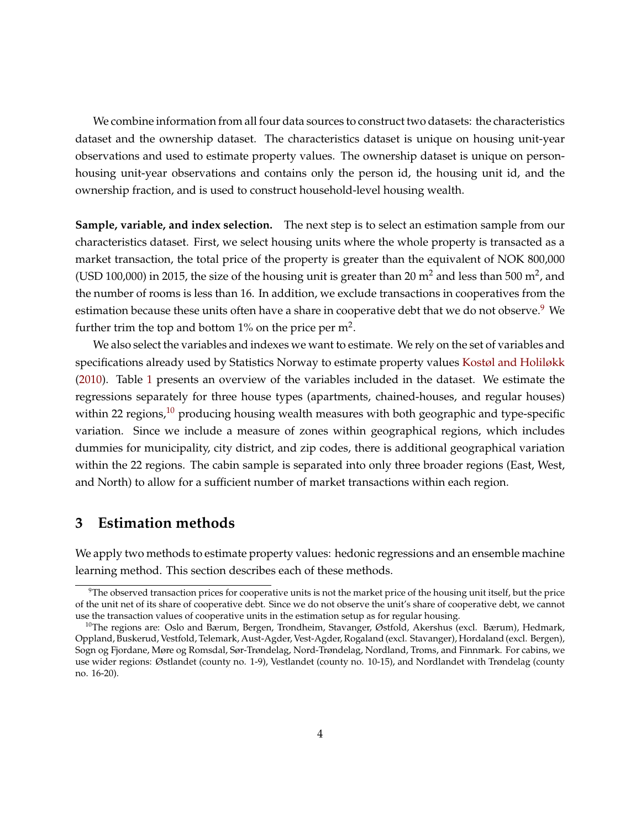We combine information from all four data sources to construct two datasets: the characteristics dataset and the ownership dataset. The characteristics dataset is unique on housing unit-year observations and used to estimate property values. The ownership dataset is unique on personhousing unit-year observations and contains only the person id, the housing unit id, and the ownership fraction, and is used to construct household-level housing wealth.

**Sample, variable, and index selection.** The next step is to select an estimation sample from our characteristics dataset. First, we select housing units where the whole property is transacted as a market transaction, the total price of the property is greater than the equivalent of NOK 800,000 (USD 100,000) in 2015, the size of the housing unit is greater than 20 m<sup>2</sup> and less than 500 m<sup>2</sup>, and the number of rooms is less than 16. In addition, we exclude transactions in cooperatives from the estimation because these units often have a share in cooperative debt that we do not observe.<sup>[9](#page-5-1)</sup> We further trim the top and bottom 1% on the price per  $m^2$ .

We also select the variables and indexes we want to estimate. We rely on the set of variables and specifications already used by Statistics Norway to estimate property values [Kostøl and Holiløkk](#page-14-0) [\(2010\)](#page-14-0). Table [1](#page-17-0) presents an overview of the variables included in the dataset. We estimate the regressions separately for three house types (apartments, chained-houses, and regular houses) within 22 regions, $10$  producing housing wealth measures with both geographic and type-specific variation. Since we include a measure of zones within geographical regions, which includes dummies for municipality, city district, and zip codes, there is additional geographical variation within the 22 regions. The cabin sample is separated into only three broader regions (East, West, and North) to allow for a sufficient number of market transactions within each region.

## <span id="page-5-0"></span>**3 Estimation methods**

We apply two methods to estimate property values: hedonic regressions and an ensemble machine learning method. This section describes each of these methods.

<span id="page-5-1"></span> $9$ The observed transaction prices for cooperative units is not the market price of the housing unit itself, but the price of the unit net of its share of cooperative debt. Since we do not observe the unit's share of cooperative debt, we cannot use the transaction values of cooperative units in the estimation setup as for regular housing.

<span id="page-5-2"></span><sup>10</sup>The regions are: Oslo and Bærum, Bergen, Trondheim, Stavanger, Østfold, Akershus (excl. Bærum), Hedmark, Oppland, Buskerud, Vestfold, Telemark, Aust-Agder, Vest-Agder, Rogaland (excl. Stavanger), Hordaland (excl. Bergen), Sogn og Fjordane, Møre og Romsdal, Sør-Trøndelag, Nord-Trøndelag, Nordland, Troms, and Finnmark. For cabins, we use wider regions: Østlandet (county no. 1-9), Vestlandet (county no. 10-15), and Nordlandet with Trøndelag (county no. 16-20).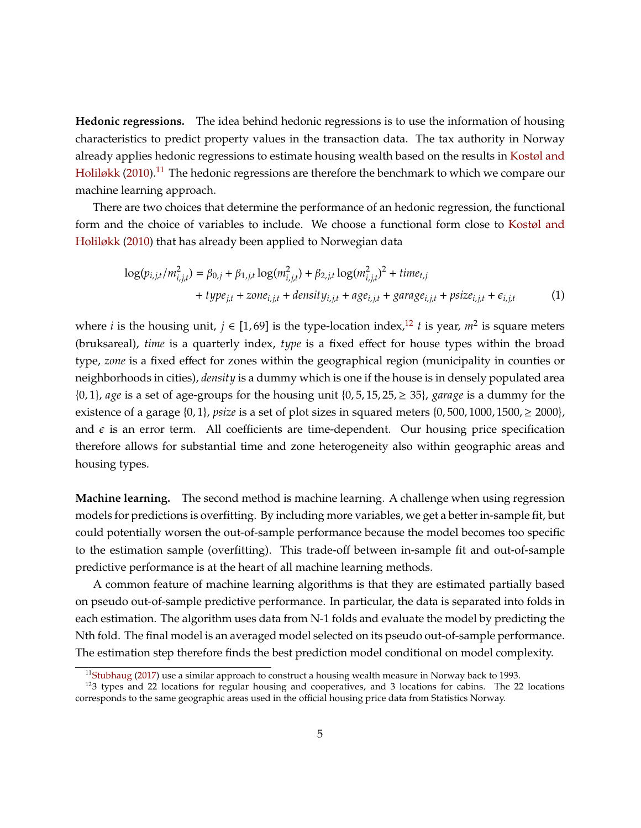**Hedonic regressions.** The idea behind hedonic regressions is to use the information of housing characteristics to predict property values in the transaction data. The tax authority in Norway already applies hedonic regressions to estimate housing wealth based on the results in [Kostøl and](#page-14-0) [Holiløkk](#page-14-0) [\(2010\)](#page-14-0).<sup>[11](#page-6-0)</sup> The hedonic regressions are therefore the benchmark to which we compare our machine learning approach.

There are two choices that determine the performance of an hedonic regression, the functional form and the choice of variables to include. We choose a functional form close to [Kostøl and](#page-14-0) [Holiløkk](#page-14-0) [\(2010\)](#page-14-0) that has already been applied to Norwegian data

$$
\log(p_{i,j,t}/m_{i,j,t}^2) = \beta_{0,j} + \beta_{1,j,t} \log(m_{i,j,t}^2) + \beta_{2,j,t} \log(m_{i,j,t}^2)^2 + time_{t,j} + type_{j,t} + zone_{i,j,t} + density_{i,j,t} + age_{i,j,t} + garage_{i,j,t} + psize_{i,j,t} + \epsilon_{i,j,t}
$$
(1)

where *i* is the housing unit,  $j \in [1, 69]$  is the type-location index,<sup>[12](#page-6-1)</sup> *t* is year,  $m^2$  is square meters (bruksareal), *time* is a quarterly index, *type* is a fixed effect for house types within the broad type, *zone* is a fixed effect for zones within the geographical region (municipality in counties or neighborhoods in cities), *density* is a dummy which is one if the house is in densely populated area {0, 1}, *age* is a set of age-groups for the housing unit {0, 5, 15, 25,≥ 35}, *garage* is a dummy for the existence of a garage  $\{0, 1\}$ , *psize* is a set of plot sizes in squared meters  $\{0, 500, 1000, 1500, \geq 2000\}$ , and  $\epsilon$  is an error term. All coefficients are time-dependent. Our housing price specification therefore allows for substantial time and zone heterogeneity also within geographic areas and housing types.

**Machine learning.** The second method is machine learning. A challenge when using regression models for predictions is overfitting. By including more variables, we get a better in-sample fit, but could potentially worsen the out-of-sample performance because the model becomes too specific to the estimation sample (overfitting). This trade-off between in-sample fit and out-of-sample predictive performance is at the heart of all machine learning methods.

A common feature of machine learning algorithms is that they are estimated partially based on pseudo out-of-sample predictive performance. In particular, the data is separated into folds in each estimation. The algorithm uses data from N-1 folds and evaluate the model by predicting the Nth fold. The final model is an averaged model selected on its pseudo out-of-sample performance. The estimation step therefore finds the best prediction model conditional on model complexity.

<span id="page-6-1"></span><span id="page-6-0"></span><sup>&</sup>lt;sup>11</sup>[Stubhaug](#page-14-1) [\(2017\)](#page-14-1) use a similar approach to construct a housing wealth measure in Norway back to 1993.

<sup>&</sup>lt;sup>12</sup>3 types and 22 locations for regular housing and cooperatives, and 3 locations for cabins. The 22 locations corresponds to the same geographic areas used in the official housing price data from Statistics Norway.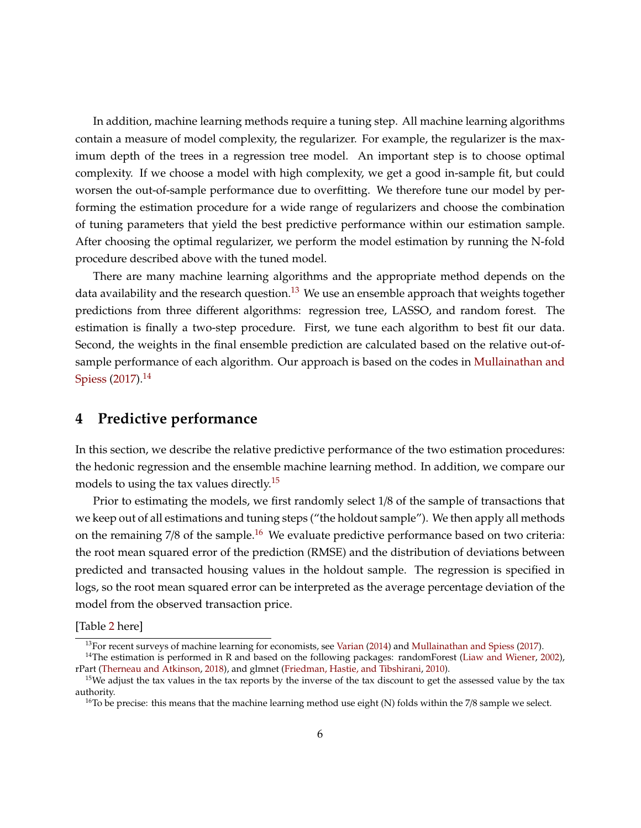In addition, machine learning methods require a tuning step. All machine learning algorithms contain a measure of model complexity, the regularizer. For example, the regularizer is the maximum depth of the trees in a regression tree model. An important step is to choose optimal complexity. If we choose a model with high complexity, we get a good in-sample fit, but could worsen the out-of-sample performance due to overfitting. We therefore tune our model by performing the estimation procedure for a wide range of regularizers and choose the combination of tuning parameters that yield the best predictive performance within our estimation sample. After choosing the optimal regularizer, we perform the model estimation by running the N-fold procedure described above with the tuned model.

There are many machine learning algorithms and the appropriate method depends on the data availability and the research question.<sup>[13](#page-7-1)</sup> We use an ensemble approach that weights together predictions from three different algorithms: regression tree, LASSO, and random forest. The estimation is finally a two-step procedure. First, we tune each algorithm to best fit our data. Second, the weights in the final ensemble prediction are calculated based on the relative out-ofsample performance of each algorithm. Our approach is based on the codes in [Mullainathan and](#page-14-3) [Spiess](#page-14-3) [\(2017\)](#page-14-3).<sup>[14](#page-7-2)</sup>

### <span id="page-7-0"></span>**4 Predictive performance**

In this section, we describe the relative predictive performance of the two estimation procedures: the hedonic regression and the ensemble machine learning method. In addition, we compare our models to using the tax values directly.<sup>[15](#page-7-3)</sup>

Prior to estimating the models, we first randomly select 1/8 of the sample of transactions that we keep out of all estimations and tuning steps ("the holdout sample"). We then apply all methods on the remaining 7/8 of the sample.<sup>[16](#page-7-4)</sup> We evaluate predictive performance based on two criteria: the root mean squared error of the prediction (RMSE) and the distribution of deviations between predicted and transacted housing values in the holdout sample. The regression is specified in logs, so the root mean squared error can be interpreted as the average percentage deviation of the model from the observed transaction price.

#### [Table [2](#page-18-0) here]

<span id="page-7-2"></span><span id="page-7-1"></span> $13$ For recent surveys of machine learning for economists, see [Varian](#page-14-4) [\(2014\)](#page-14-4) and [Mullainathan and Spiess](#page-14-3) [\(2017\)](#page-14-3).

<sup>&</sup>lt;sup>14</sup>The estimation is performed in R and based on the following packages: randomForest [\(Liaw and Wiener,](#page-14-5) [2002\)](#page-14-5), rPart [\(Therneau and Atkinson,](#page-14-6) [2018\)](#page-14-6), and glmnet [\(Friedman, Hastie, and Tibshirani,](#page-14-7) [2010\)](#page-14-7).

<span id="page-7-3"></span> $15$ We adjust the tax values in the tax reports by the inverse of the tax discount to get the assessed value by the tax authority.

<span id="page-7-4"></span><sup>&</sup>lt;sup>16</sup>To be precise: this means that the machine learning method use eight (N) folds within the 7/8 sample we select.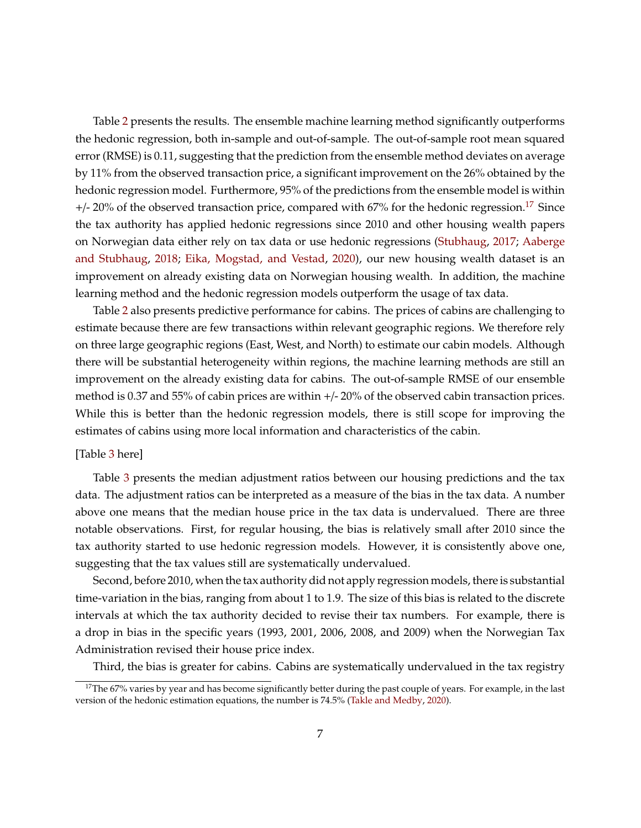Table [2](#page-18-0) presents the results. The ensemble machine learning method significantly outperforms the hedonic regression, both in-sample and out-of-sample. The out-of-sample root mean squared error (RMSE) is 0.11, suggesting that the prediction from the ensemble method deviates on average by 11% from the observed transaction price, a significant improvement on the 26% obtained by the hedonic regression model. Furthermore, 95% of the predictions from the ensemble model is within  $+/- 20\%$  of the observed transaction price, compared with 67% for the hedonic regression.<sup>[17](#page-8-0)</sup> Since the tax authority has applied hedonic regressions since 2010 and other housing wealth papers on Norwegian data either rely on tax data or use hedonic regressions [\(Stubhaug,](#page-14-1) [2017;](#page-14-1) [Aaberge](#page-14-8) [and Stubhaug,](#page-14-8) [2018;](#page-14-8) [Eika, Mogstad, and Vestad,](#page-14-9) [2020\)](#page-14-9), our new housing wealth dataset is an improvement on already existing data on Norwegian housing wealth. In addition, the machine learning method and the hedonic regression models outperform the usage of tax data.

Table [2](#page-18-0) also presents predictive performance for cabins. The prices of cabins are challenging to estimate because there are few transactions within relevant geographic regions. We therefore rely on three large geographic regions (East, West, and North) to estimate our cabin models. Although there will be substantial heterogeneity within regions, the machine learning methods are still an improvement on the already existing data for cabins. The out-of-sample RMSE of our ensemble method is 0.37 and 55% of cabin prices are within +/- 20% of the observed cabin transaction prices. While this is better than the hedonic regression models, there is still scope for improving the estimates of cabins using more local information and characteristics of the cabin.

#### [Table [3](#page-19-0) here]

Table [3](#page-19-0) presents the median adjustment ratios between our housing predictions and the tax data. The adjustment ratios can be interpreted as a measure of the bias in the tax data. A number above one means that the median house price in the tax data is undervalued. There are three notable observations. First, for regular housing, the bias is relatively small after 2010 since the tax authority started to use hedonic regression models. However, it is consistently above one, suggesting that the tax values still are systematically undervalued.

Second, before 2010, when the tax authority did not apply regression models, there is substantial time-variation in the bias, ranging from about 1 to 1.9. The size of this bias is related to the discrete intervals at which the tax authority decided to revise their tax numbers. For example, there is a drop in bias in the specific years (1993, 2001, 2006, 2008, and 2009) when the Norwegian Tax Administration revised their house price index.

Third, the bias is greater for cabins. Cabins are systematically undervalued in the tax registry

<span id="page-8-0"></span><sup>&</sup>lt;sup>17</sup>The 67% varies by year and has become significantly better during the past couple of years. For example, in the last version of the hedonic estimation equations, the number is 74.5% [\(Takle and Medby,](#page-14-10) [2020\)](#page-14-10).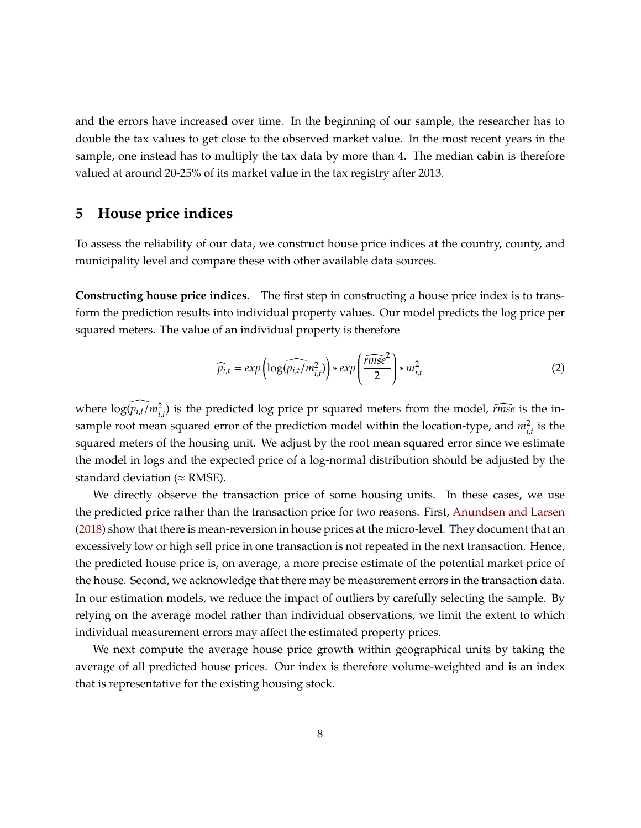and the errors have increased over time. In the beginning of our sample, the researcher has to double the tax values to get close to the observed market value. In the most recent years in the sample, one instead has to multiply the tax data by more than 4. The median cabin is therefore valued at around 20-25% of its market value in the tax registry after 2013.

# <span id="page-9-0"></span>**5 House price indices**

To assess the reliability of our data, we construct house price indices at the country, county, and municipality level and compare these with other available data sources.

**Constructing house price indices.** The first step in constructing a house price index is to transform the prediction results into individual property values. Our model predicts the log price per squared meters. The value of an individual property is therefore

<span id="page-9-1"></span>
$$
\widehat{p}_{i,t} = exp\left(\log(\widehat{p_{i,t}}/m_{i,t}^2)\right) * exp\left(\frac{\widehat{rms}^2}{2}\right) * m_{i,t}^2
$$
\n(2)

where  $\log(\widehat{p_{i,t}}/m_{i,t}^2)$  is the predicted log price pr squared meters from the model, *rmse* is the insample root mean squared error of the prediction model within the location-type, and  $m_{i,t}^2$  is the squared meters of the housing unit. We adjust by the root mean squared error since we estimate the model in logs and the expected price of a log-normal distribution should be adjusted by the standard deviation ( $\approx$  RMSE).

We directly observe the transaction price of some housing units. In these cases, we use the predicted price rather than the transaction price for two reasons. First, [Anundsen and Larsen](#page-14-11) [\(2018\)](#page-14-11) show that there is mean-reversion in house prices at the micro-level. They document that an excessively low or high sell price in one transaction is not repeated in the next transaction. Hence, the predicted house price is, on average, a more precise estimate of the potential market price of the house. Second, we acknowledge that there may be measurement errors in the transaction data. In our estimation models, we reduce the impact of outliers by carefully selecting the sample. By relying on the average model rather than individual observations, we limit the extent to which individual measurement errors may affect the estimated property prices.

We next compute the average house price growth within geographical units by taking the average of all predicted house prices. Our index is therefore volume-weighted and is an index that is representative for the existing housing stock.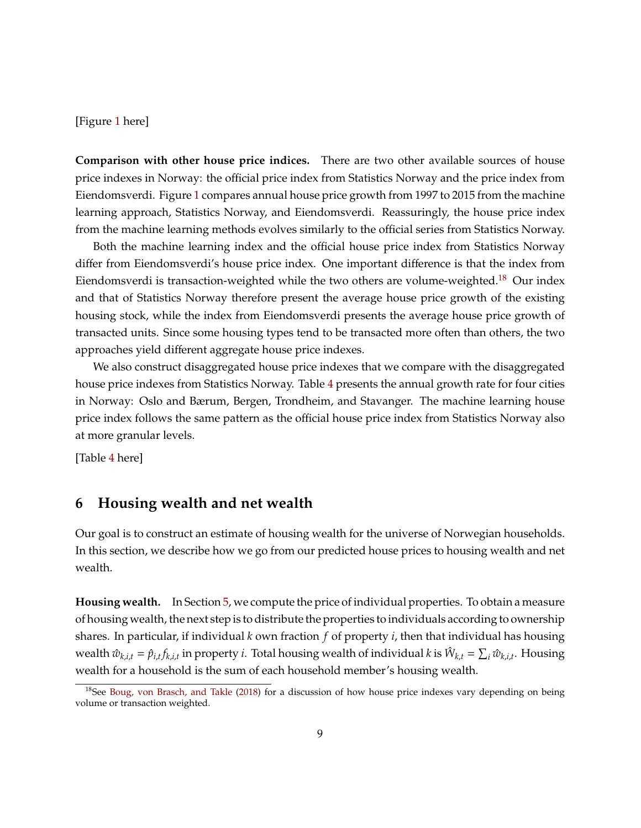#### [Figure [1](#page-21-0) here]

**Comparison with other house price indices.** There are two other available sources of house price indexes in Norway: the official price index from Statistics Norway and the price index from Eiendomsverdi. Figure [1](#page-21-0) compares annual house price growth from 1997 to 2015 from the machine learning approach, Statistics Norway, and Eiendomsverdi. Reassuringly, the house price index from the machine learning methods evolves similarly to the official series from Statistics Norway.

Both the machine learning index and the official house price index from Statistics Norway differ from Eiendomsverdi's house price index. One important difference is that the index from Eiendomsverdi is transaction-weighted while the two others are volume-weighted.<sup>[18](#page-10-1)</sup> Our index and that of Statistics Norway therefore present the average house price growth of the existing housing stock, while the index from Eiendomsverdi presents the average house price growth of transacted units. Since some housing types tend to be transacted more often than others, the two approaches yield different aggregate house price indexes.

We also construct disaggregated house price indexes that we compare with the disaggregated house price indexes from Statistics Norway. Table [4](#page-20-0) presents the annual growth rate for four cities in Norway: Oslo and Bærum, Bergen, Trondheim, and Stavanger. The machine learning house price index follows the same pattern as the official house price index from Statistics Norway also at more granular levels.

[Table [4](#page-20-0) here]

# <span id="page-10-0"></span>**6 Housing wealth and net wealth**

Our goal is to construct an estimate of housing wealth for the universe of Norwegian households. In this section, we describe how we go from our predicted house prices to housing wealth and net wealth.

**Housing wealth.** In Section [5,](#page-9-0) we compute the price of individual properties. To obtain a measure of housing wealth, the next step is to distribute the properties to individuals according to ownership shares. In particular, if individual *k* own fraction *f* of property *i*, then that individual has housing wealth  $\hat{w}_{k,i,t} = \hat{p}_{i,t}f_{k,i,t}$  in property  $i$ . Total housing wealth of individual  $k$  is  $\hat{W}_{k,t} = \sum_i \hat{w}_{k,i,t}$ . Housing wealth for a household is the sum of each household member's housing wealth.

<span id="page-10-1"></span><sup>&</sup>lt;sup>18</sup>See [Boug, von Brasch, and Takle](#page-14-12) [\(2018\)](#page-14-12) for a discussion of how house price indexes vary depending on being volume or transaction weighted.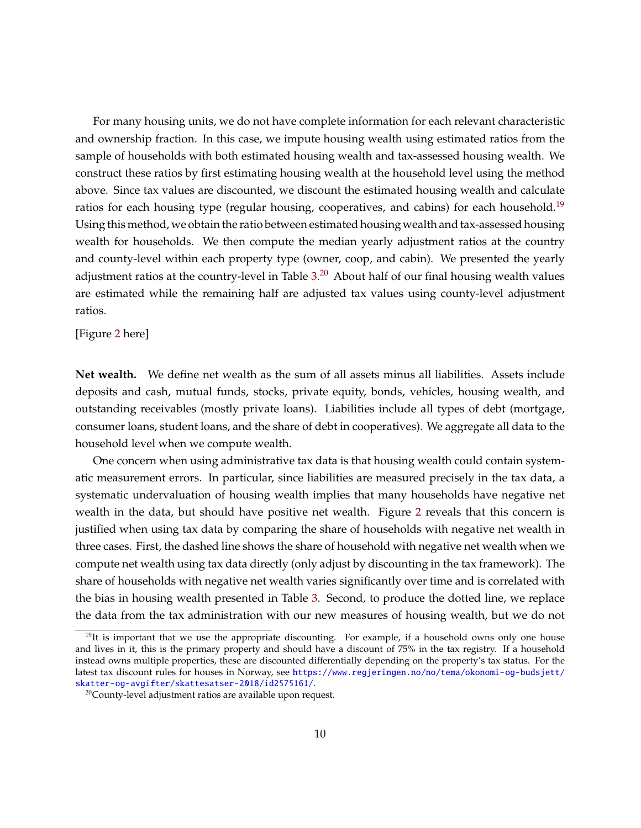For many housing units, we do not have complete information for each relevant characteristic and ownership fraction. In this case, we impute housing wealth using estimated ratios from the sample of households with both estimated housing wealth and tax-assessed housing wealth. We construct these ratios by first estimating housing wealth at the household level using the method above. Since tax values are discounted, we discount the estimated housing wealth and calculate ratios for each housing type (regular housing, cooperatives, and cabins) for each household.<sup>[19](#page-11-0)</sup> Using this method, we obtain the ratio between estimated housing wealth and tax-assessed housing wealth for households. We then compute the median yearly adjustment ratios at the country and county-level within each property type (owner, coop, and cabin). We presented the yearly adjustment ratios at the country-level in Table [3.](#page-19-0) $^{20}$  $^{20}$  $^{20}$  About half of our final housing wealth values are estimated while the remaining half are adjusted tax values using county-level adjustment ratios.

[Figure [2](#page-22-0) here]

**Net wealth.** We define net wealth as the sum of all assets minus all liabilities. Assets include deposits and cash, mutual funds, stocks, private equity, bonds, vehicles, housing wealth, and outstanding receivables (mostly private loans). Liabilities include all types of debt (mortgage, consumer loans, student loans, and the share of debt in cooperatives). We aggregate all data to the household level when we compute wealth.

One concern when using administrative tax data is that housing wealth could contain systematic measurement errors. In particular, since liabilities are measured precisely in the tax data, a systematic undervaluation of housing wealth implies that many households have negative net wealth in the data, but should have positive net wealth. Figure [2](#page-22-0) reveals that this concern is justified when using tax data by comparing the share of households with negative net wealth in three cases. First, the dashed line shows the share of household with negative net wealth when we compute net wealth using tax data directly (only adjust by discounting in the tax framework). The share of households with negative net wealth varies significantly over time and is correlated with the bias in housing wealth presented in Table [3.](#page-19-0) Second, to produce the dotted line, we replace the data from the tax administration with our new measures of housing wealth, but we do not

<span id="page-11-0"></span> $19$ It is important that we use the appropriate discounting. For example, if a household owns only one house and lives in it, this is the primary property and should have a discount of 75% in the tax registry. If a household instead owns multiple properties, these are discounted differentially depending on the property's tax status. For the latest tax discount rules for houses in Norway, see [https://www.regjeringen.no/no/tema/okonomi-og-budsjett/](https://www.regjeringen.no/no/tema/okonomi-og-budsjett/skatter-og-avgifter/skattesatser-2018/id2575161/) [skatter-og-avgifter/skattesatser-2018/id2575161/](https://www.regjeringen.no/no/tema/okonomi-og-budsjett/skatter-og-avgifter/skattesatser-2018/id2575161/).

<span id="page-11-1"></span><sup>20</sup>County-level adjustment ratios are available upon request.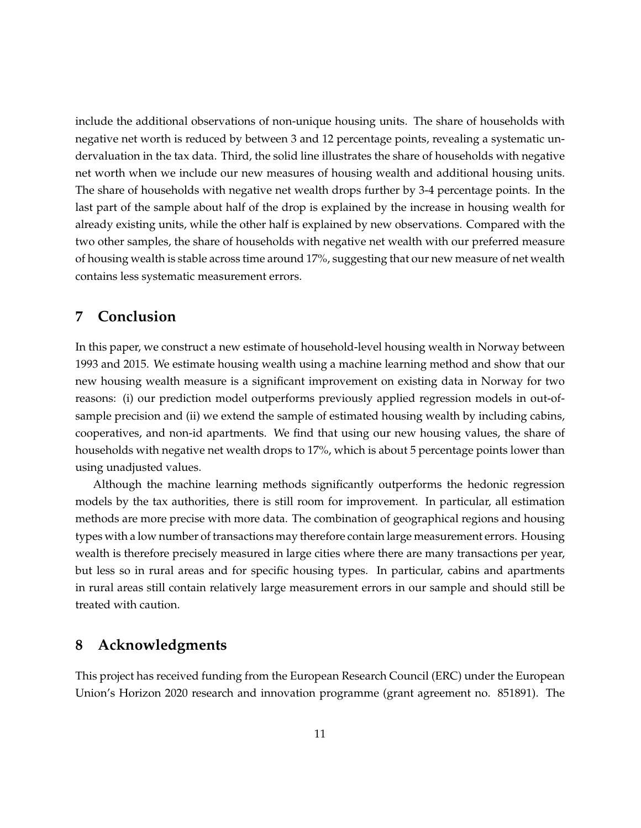include the additional observations of non-unique housing units. The share of households with negative net worth is reduced by between 3 and 12 percentage points, revealing a systematic undervaluation in the tax data. Third, the solid line illustrates the share of households with negative net worth when we include our new measures of housing wealth and additional housing units. The share of households with negative net wealth drops further by 3-4 percentage points. In the last part of the sample about half of the drop is explained by the increase in housing wealth for already existing units, while the other half is explained by new observations. Compared with the two other samples, the share of households with negative net wealth with our preferred measure of housing wealth is stable across time around 17%, suggesting that our new measure of net wealth contains less systematic measurement errors.

# <span id="page-12-0"></span>**7 Conclusion**

In this paper, we construct a new estimate of household-level housing wealth in Norway between 1993 and 2015. We estimate housing wealth using a machine learning method and show that our new housing wealth measure is a significant improvement on existing data in Norway for two reasons: (i) our prediction model outperforms previously applied regression models in out-ofsample precision and (ii) we extend the sample of estimated housing wealth by including cabins, cooperatives, and non-id apartments. We find that using our new housing values, the share of households with negative net wealth drops to 17%, which is about 5 percentage points lower than using unadjusted values.

Although the machine learning methods significantly outperforms the hedonic regression models by the tax authorities, there is still room for improvement. In particular, all estimation methods are more precise with more data. The combination of geographical regions and housing types with a low number of transactions may therefore contain large measurement errors. Housing wealth is therefore precisely measured in large cities where there are many transactions per year, but less so in rural areas and for specific housing types. In particular, cabins and apartments in rural areas still contain relatively large measurement errors in our sample and should still be treated with caution.

# **8 Acknowledgments**

This project has received funding from the European Research Council (ERC) under the European Union's Horizon 2020 research and innovation programme (grant agreement no. 851891). The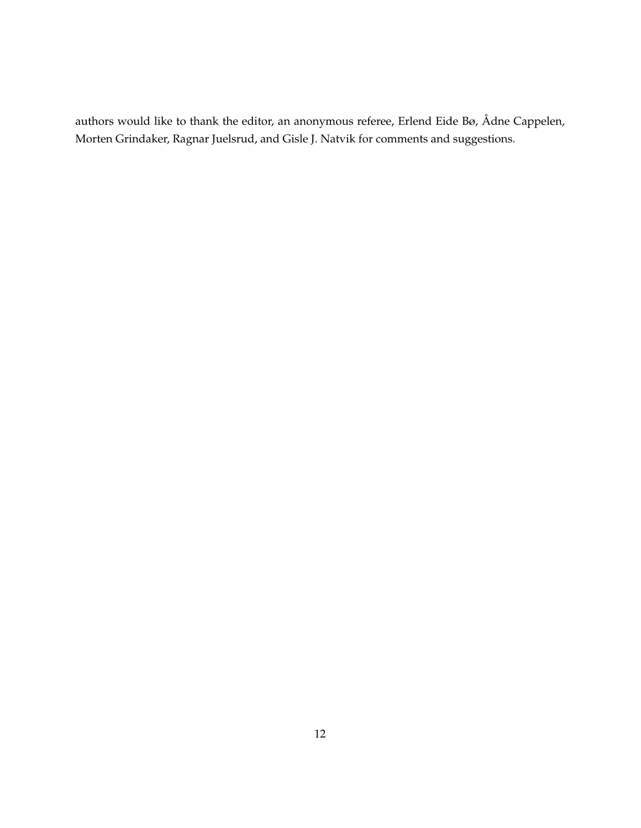authors would like to thank the editor, an anonymous referee, Erlend Eide Bø, Ådne Cappelen, Morten Grindaker, Ragnar Juelsrud, and Gisle J. Natvik for comments and suggestions.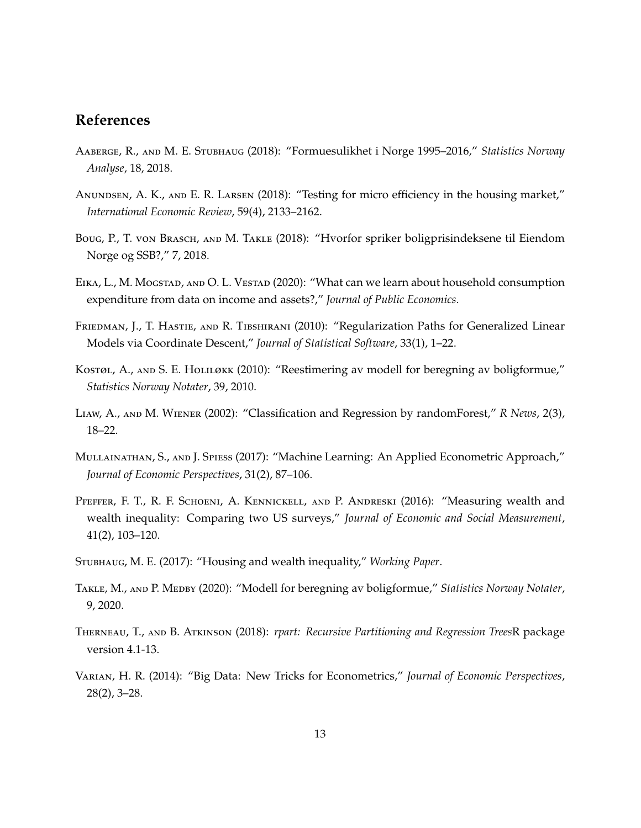# **References**

- <span id="page-14-8"></span>Aaberge, R., and M. E. Stubhaug (2018): "Formuesulikhet i Norge 1995–2016," *Statistics Norway Analyse*, 18, 2018.
- <span id="page-14-11"></span>Anundsen, A. K., and E. R. Larsen (2018): "Testing for micro efficiency in the housing market," *International Economic Review*, 59(4), 2133–2162.
- <span id="page-14-12"></span>Boug, P., T. von Brasch, and M. Takle (2018): "Hvorfor spriker boligprisindeksene til Eiendom Norge og SSB?," 7, 2018.
- <span id="page-14-9"></span>EIKA, L., M. MOGSTAD, AND O. L. VESTAD (2020): "What can we learn about household consumption expenditure from data on income and assets?," *Journal of Public Economics*.
- <span id="page-14-7"></span>Friedman, J., T. Hastie, and R. Tibshirani (2010): "Regularization Paths for Generalized Linear Models via Coordinate Descent," *Journal of Statistical Software*, 33(1), 1–22.
- <span id="page-14-0"></span>Kostøl, A., and S. E. Holiløkk (2010): "Reestimering av modell for beregning av boligformue," *Statistics Norway Notater*, 39, 2010.
- <span id="page-14-5"></span>Liaw, A., and M. Wiener (2002): "Classification and Regression by randomForest," *R News*, 2(3), 18–22.
- <span id="page-14-3"></span>Mullainathan, S., and J. Spiess (2017): "Machine Learning: An Applied Econometric Approach," *Journal of Economic Perspectives*, 31(2), 87–106.
- <span id="page-14-2"></span>PFEFFER, F. T., R. F. SCHOENI, A. KENNICKELL, AND P. ANDRESKI (2016): "Measuring wealth and wealth inequality: Comparing two US surveys," *Journal of Economic and Social Measurement*, 41(2), 103–120.
- <span id="page-14-1"></span>Stubhaug, M. E. (2017): "Housing and wealth inequality," *Working Paper*.
- <span id="page-14-10"></span>Takle, M., and P. Medby (2020): "Modell for beregning av boligformue," *Statistics Norway Notater*, 9, 2020.
- <span id="page-14-6"></span>Therneau, T., and B. Atkinson (2018): *rpart: Recursive Partitioning and Regression Trees*R package version 4.1-13.
- <span id="page-14-4"></span>Varian, H. R. (2014): "Big Data: New Tricks for Econometrics," *Journal of Economic Perspectives*, 28(2), 3–28.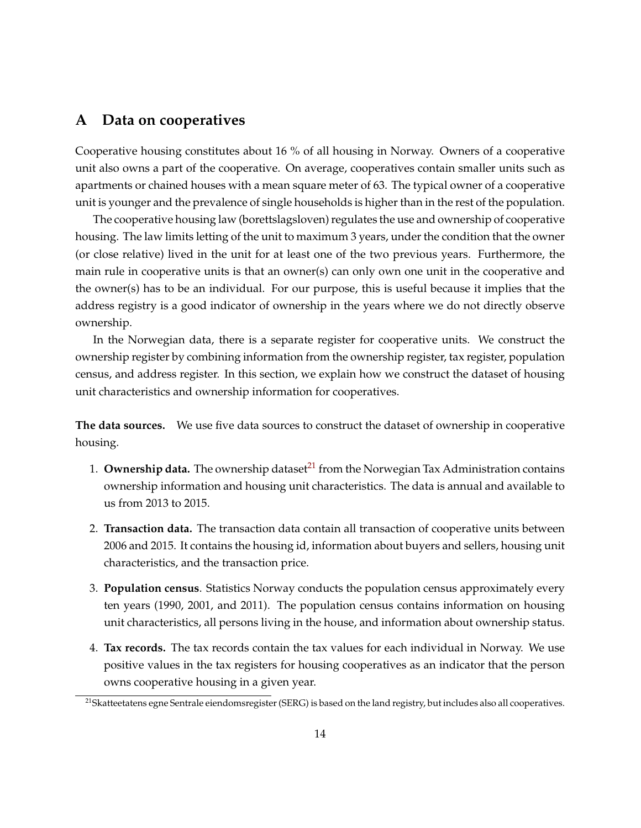# <span id="page-15-0"></span>**A Data on cooperatives**

Cooperative housing constitutes about 16 % of all housing in Norway. Owners of a cooperative unit also owns a part of the cooperative. On average, cooperatives contain smaller units such as apartments or chained houses with a mean square meter of 63. The typical owner of a cooperative unit is younger and the prevalence of single households is higher than in the rest of the population.

The cooperative housing law (borettslagsloven) regulates the use and ownership of cooperative housing. The law limits letting of the unit to maximum 3 years, under the condition that the owner (or close relative) lived in the unit for at least one of the two previous years. Furthermore, the main rule in cooperative units is that an owner(s) can only own one unit in the cooperative and the owner(s) has to be an individual. For our purpose, this is useful because it implies that the address registry is a good indicator of ownership in the years where we do not directly observe ownership.

In the Norwegian data, there is a separate register for cooperative units. We construct the ownership register by combining information from the ownership register, tax register, population census, and address register. In this section, we explain how we construct the dataset of housing unit characteristics and ownership information for cooperatives.

**The data sources.** We use five data sources to construct the dataset of ownership in cooperative housing.

- 1. **Ownership data.** The ownership dataset<sup>[21](#page-15-1)</sup> from the Norwegian Tax Administration contains ownership information and housing unit characteristics. The data is annual and available to us from 2013 to 2015.
- 2. **Transaction data.** The transaction data contain all transaction of cooperative units between 2006 and 2015. It contains the housing id, information about buyers and sellers, housing unit characteristics, and the transaction price.
- 3. **Population census**. Statistics Norway conducts the population census approximately every ten years (1990, 2001, and 2011). The population census contains information on housing unit characteristics, all persons living in the house, and information about ownership status.
- 4. **Tax records.** The tax records contain the tax values for each individual in Norway. We use positive values in the tax registers for housing cooperatives as an indicator that the person owns cooperative housing in a given year.

<span id="page-15-1"></span><sup>&</sup>lt;sup>21</sup>Skatteetatens egne Sentrale eiendomsregister (SERG) is based on the land registry, but includes also all cooperatives.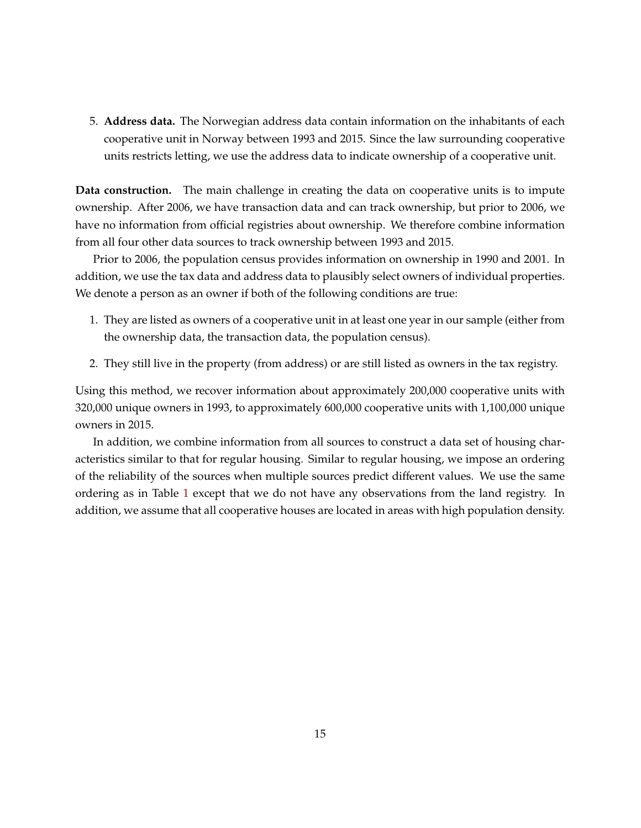5. **Address data.** The Norwegian address data contain information on the inhabitants of each cooperative unit in Norway between 1993 and 2015. Since the law surrounding cooperative units restricts letting, we use the address data to indicate ownership of a cooperative unit.

**Data construction.** The main challenge in creating the data on cooperative units is to impute ownership. After 2006, we have transaction data and can track ownership, but prior to 2006, we have no information from official registries about ownership. We therefore combine information from all four other data sources to track ownership between 1993 and 2015.

Prior to 2006, the population census provides information on ownership in 1990 and 2001. In addition, we use the tax data and address data to plausibly select owners of individual properties. We denote a person as an owner if both of the following conditions are true:

- 1. They are listed as owners of a cooperative unit in at least one year in our sample (either from the ownership data, the transaction data, the population census).
- 2. They still live in the property (from address) or are still listed as owners in the tax registry.

Using this method, we recover information about approximately 200,000 cooperative units with 320,000 unique owners in 1993, to approximately 600,000 cooperative units with 1,100,000 unique owners in 2015.

In addition, we combine information from all sources to construct a data set of housing characteristics similar to that for regular housing. Similar to regular housing, we impose an ordering of the reliability of the sources when multiple sources predict different values. We use the same ordering as in Table [1](#page-17-0) except that we do not have any observations from the land registry. In addition, we assume that all cooperative houses are located in areas with high population density.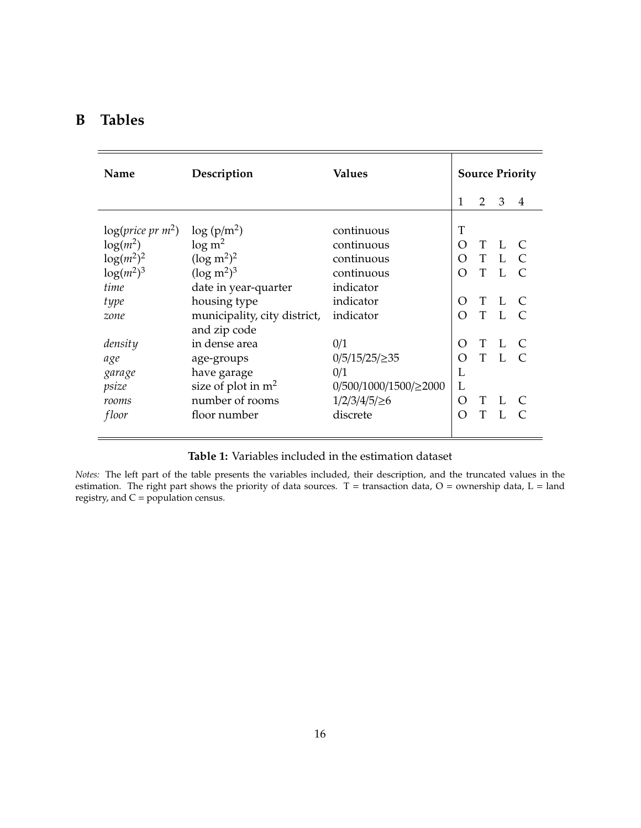# **B Tables**

<span id="page-17-0"></span>

| Name                                                                                                | Description                                                                                                                               | <b>Values</b>                                                                                       |                                                                      | <b>Source Priority</b> |                         |   |
|-----------------------------------------------------------------------------------------------------|-------------------------------------------------------------------------------------------------------------------------------------------|-----------------------------------------------------------------------------------------------------|----------------------------------------------------------------------|------------------------|-------------------------|---|
|                                                                                                     |                                                                                                                                           |                                                                                                     | 1                                                                    | $\overline{2}$         | 3                       | 4 |
| log(price pr m <sup>2</sup> )<br>$log(m^2)$<br>$log(m^2)^2$<br>$log(m^2)^3$<br>time<br>type<br>zone | $\log{(p/m^2)}$<br>$\log m^2$<br>$(\log m^2)^2$<br>$(\log m^2)^3$<br>date in year-quarter<br>housing type<br>municipality, city district, | continuous<br>continuous<br>continuous<br>continuous<br>indicator<br>indicator<br>indicator         | T<br>O<br>$\overline{O}$<br>$\Omega$<br>$\left( \right)$<br>$\Omega$ | T<br>T<br>T<br>T       | L<br>T L<br>L<br>L<br>L | C |
| density<br>age<br>garage<br>psize<br>rooms<br>floor                                                 | and zip code<br>in dense area<br>age-groups<br>have garage<br>size of plot in $m2$<br>number of rooms<br>floor number                     | 0/1<br>$0/5/15/25/ \geq 35$<br>0/1<br>0/500/1000/1500/ $\geq$ 2000<br>$1/2/3/4/5 \ge 6$<br>discrete | 0<br>O<br>L<br>L<br>O<br>$\bigcap$                                   | T<br>T<br>T<br>T       | L<br>L<br>L.            |   |

## **Table 1:** Variables included in the estimation dataset

*Notes:* The left part of the table presents the variables included, their description, and the truncated values in the estimation. The right part shows the priority of data sources. T = transaction data, O = ownership data, L = land registry, and  $C =$  population census.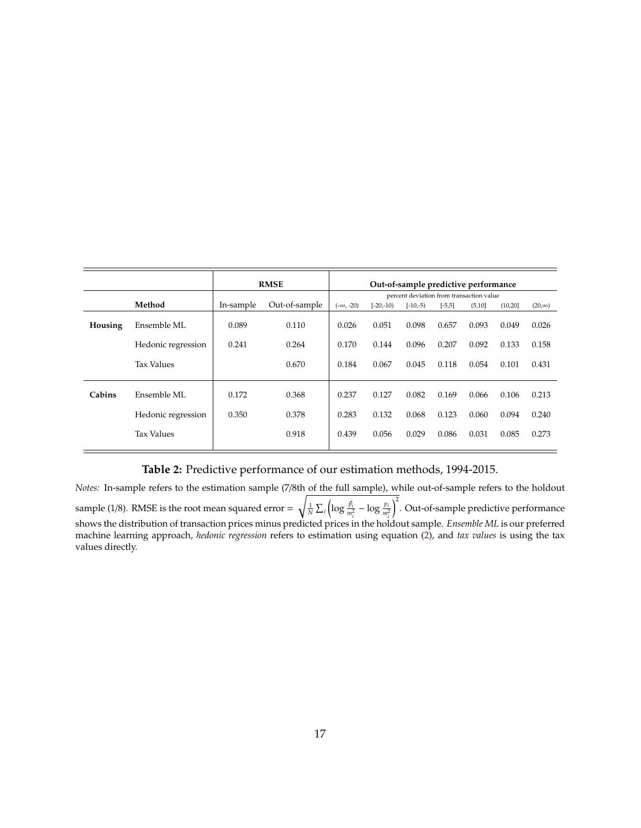<span id="page-18-0"></span>

|         |                    |           | <b>RMSE</b>   | Out-of-sample predictive performance     |             |            |          |        |          |                |
|---------|--------------------|-----------|---------------|------------------------------------------|-------------|------------|----------|--------|----------|----------------|
|         |                    |           |               | percent deviation from transaction value |             |            |          |        |          |                |
|         | Method             | In-sample | Out-of-sample | $(-\infty, -20)$                         | $[-20,-10)$ | $[-10,-5)$ | $[-5,5]$ | (5,10) | (10, 20) | $(20, \infty)$ |
| Housing | Ensemble ML        | 0.089     | 0.110         | 0.026                                    | 0.051       | 0.098      | 0.657    | 0.093  | 0.049    | 0.026          |
|         | Hedonic regression | 0.241     | 0.264         | 0.170                                    | 0.144       | 0.096      | 0.207    | 0.092  | 0.133    | 0.158          |
|         |                    |           |               |                                          |             |            |          |        |          |                |
|         | <b>Tax Values</b>  |           | 0.670         | 0.184                                    | 0.067       | 0.045      | 0.118    | 0.054  | 0.101    | 0.431          |
|         |                    |           |               |                                          |             |            |          |        |          |                |
| Cabins  | Ensemble ML        | 0.172     | 0.368         | 0.237                                    | 0.127       | 0.082      | 0.169    | 0.066  | 0.106    | 0.213          |
|         | Hedonic regression | 0.350     | 0.378         | 0.283                                    | 0.132       | 0.068      | 0.123    | 0.060  | 0.094    | 0.240          |
|         | <b>Tax Values</b>  |           | 0.918         | 0.439                                    | 0.056       | 0.029      | 0.086    | 0.031  | 0.085    | 0.273          |

#### **Table 2:** Predictive performance of our estimation methods, 1994-2015.

*Notes:* In-sample refers to the estimation sample (7/8th of the full sample), while out-of-sample refers to the holdout sample (1/8). RMSE is the root mean squared error =  $\sqrt{\frac{1}{N} \sum_i \left( \log \frac{\hat{p}_i}{m_i^2} - \log \frac{p_i}{m_i^2} \right)}$  $\int_{0}^{2}$ . Out-of-sample predictive performance shows the distribution of transaction prices minus predicted prices in the holdout sample. *Ensemble ML* is our preferred machine learning approach, *hedonic regression* refers to estimation using equation [\(2\)](#page-9-1), and *tax values* is using the tax values directly.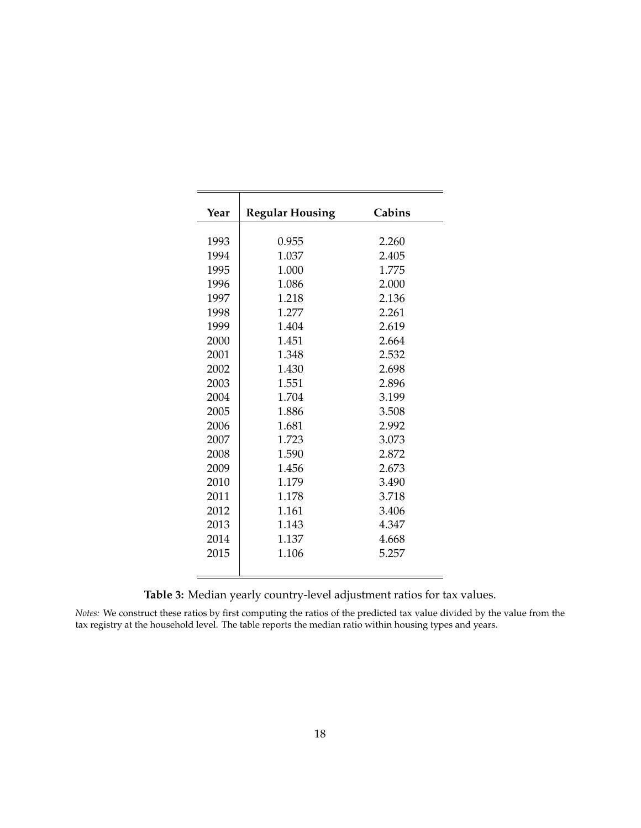<span id="page-19-0"></span>

| Year | <b>Regular Housing</b> | Cabins |
|------|------------------------|--------|
|      |                        |        |
| 1993 | 0.955                  | 2.260  |
| 1994 | 1.037                  | 2.405  |
| 1995 | 1.000                  | 1.775  |
| 1996 | 1.086                  | 2.000  |
| 1997 | 1.218                  | 2.136  |
| 1998 | 1.277                  | 2.261  |
| 1999 | 1.404                  | 2.619  |
| 2000 | 1.451                  | 2.664  |
| 2001 | 1.348                  | 2.532  |
| 2002 | 1.430                  | 2.698  |
| 2003 | 1.551                  | 2.896  |
| 2004 | 1.704                  | 3.199  |
| 2005 | 1.886                  | 3.508  |
| 2006 | 1.681                  | 2.992  |
| 2007 | 1.723                  | 3.073  |
| 2008 | 1.590                  | 2.872  |
| 2009 | 1.456                  | 2.673  |
| 2010 | 1.179                  | 3.490  |
| 2011 | 1.178                  | 3.718  |
| 2012 | 1.161                  | 3.406  |
| 2013 | 1.143                  | 4.347  |
| 2014 | 1.137                  | 4.668  |
| 2015 | 1.106                  | 5.257  |
|      |                        |        |

**Table 3:** Median yearly country-level adjustment ratios for tax values.

*Notes:* We construct these ratios by first computing the ratios of the predicted tax value divided by the value from the tax registry at the household level. The table reports the median ratio within housing types and years.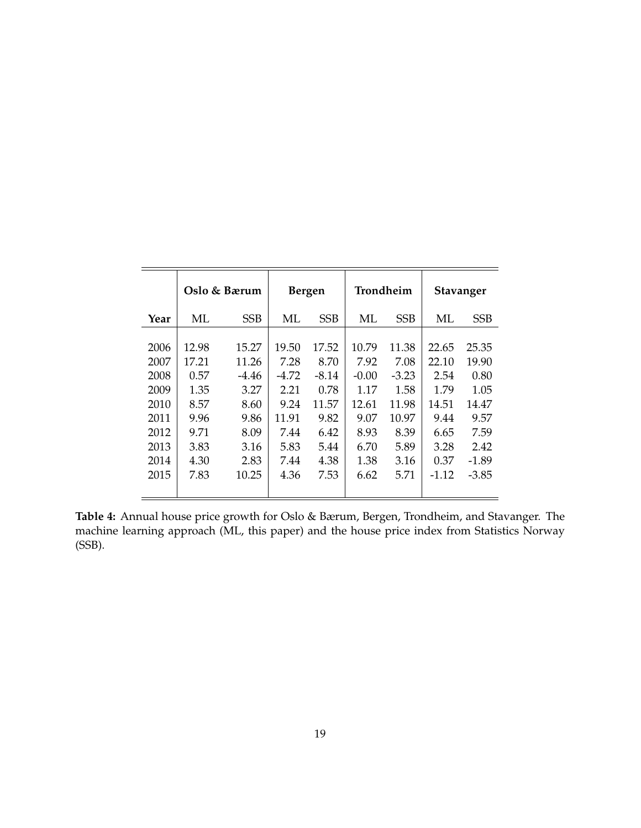<span id="page-20-0"></span>

| ML<br><b>SSB</b><br>ML<br><b>SSB</b><br>ML<br><b>SSB</b><br>ML<br>Year                                                                                                                                                                                                                                                                                                                                                                                                                                                                                                                                                                                                                        |  |
|-----------------------------------------------------------------------------------------------------------------------------------------------------------------------------------------------------------------------------------------------------------------------------------------------------------------------------------------------------------------------------------------------------------------------------------------------------------------------------------------------------------------------------------------------------------------------------------------------------------------------------------------------------------------------------------------------|--|
| 12.98<br>17.52<br>10.79<br>2006<br>15.27<br>19.50<br>11.38<br>22.65<br>2007<br>17.21<br>11.26<br>7.28<br>8.70<br>7.92<br>7.08<br>22.10<br>2008<br>0.57<br>$-4.72$<br>$-0.00$<br>2.54<br>-4.46<br>$-8.14$<br>$-3.23$<br>2009<br>0.78<br>1.35<br>1.17<br>1.58<br>1.79<br>3.27<br>2.21<br>11.98<br>2010<br>8.57<br>8.60<br>9.24<br>11.57<br>12.61<br>14.51<br>9.96<br>11.91<br>9.82<br>2011<br>9.86<br>9.07<br>10.97<br>9.44<br>2012<br>9.71<br>8.09<br>6.42<br>8.39<br>7.44<br>8.93<br>6.65<br>5.89<br>2013<br>3.83<br>5.83<br>5.44<br>6.70<br>3.28<br>3.16<br>2014<br>4.30<br>1.38<br>2.83<br>7.44<br>4.38<br>3.16<br>0.37<br>2015<br>7.83<br>10.25<br>4.36<br>7.53<br>5.71<br>$-1.12$<br>6.62 |  |

**Table 4:** Annual house price growth for Oslo & Bærum, Bergen, Trondheim, and Stavanger. The machine learning approach (ML, this paper) and the house price index from Statistics Norway (SSB).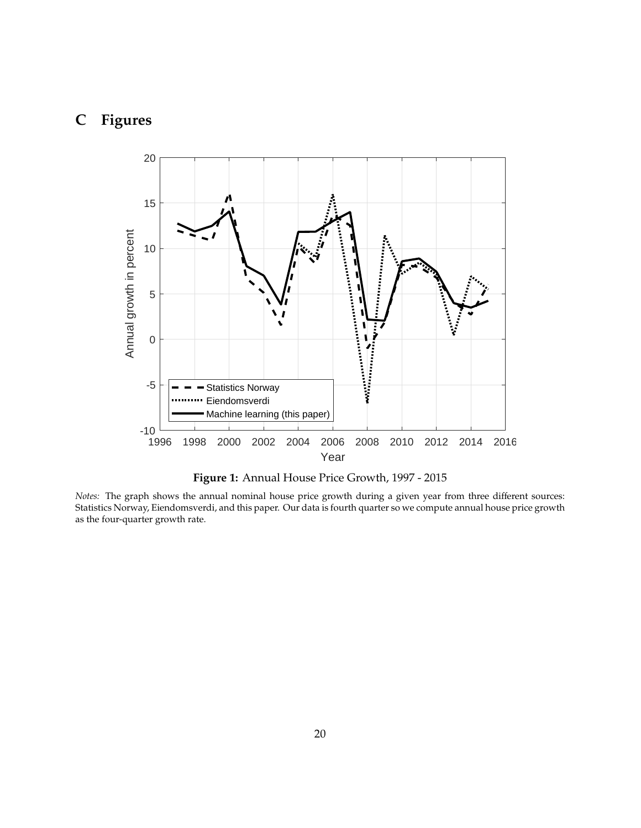# <span id="page-21-0"></span>**C Figures**





*Notes:* The graph shows the annual nominal house price growth during a given year from three different sources: Statistics Norway, Eiendomsverdi, and this paper. Our data is fourth quarter so we compute annual house price growth as the four-quarter growth rate.